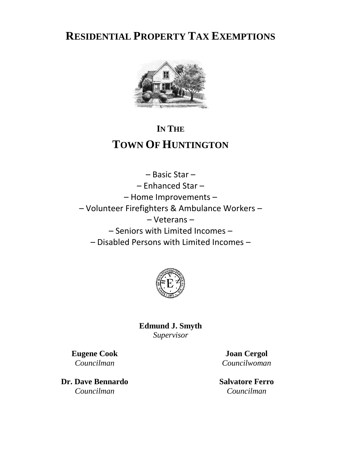**RESIDENTIAL PROPERTY TAX EXEMPTIONS**



# **IN THE TOWN OF HUNTINGTON**

– Basic Star – – Enhanced Star – – Home Improvements – – Volunteer Firefighters & Ambulance Workers – – Veterans – – Seniors with Limited Incomes – – Disabled Persons with Limited Incomes –



**Edmund J. Smyth** *Supervisor*

**Eugene Cook** *Councilman*

**Dr. Dave Bennardo** *Councilman*

**Joan Cergol** *Councilwoman*

**Salvatore Ferro** *Councilman*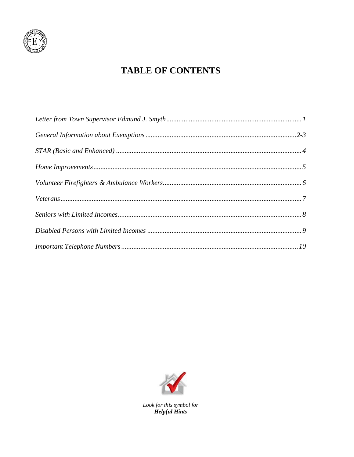

## **TABLE OF CONTENTS**



Look for this symbol for **Helpful Hints**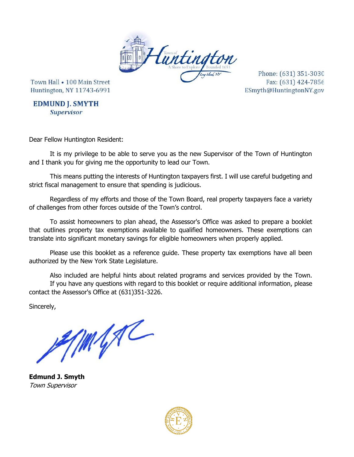

Town Hall • 100 Main Street Huntington, NY 11743-6991

Phone: (631) 351-3030 Fax: (631) 424-7856 ESmyth@HuntingtonNY.gov

**EDMUND J. SMYTH Supervisor** 

Dear Fellow Huntington Resident:

It is my privilege to be able to serve you as the new Supervisor of the Town of Huntington and I thank you for giving me the opportunity to lead our Town.

This means putting the interests of Huntington taxpayers first. I will use careful budgeting and strict fiscal management to ensure that spending is judicious.

Regardless of my efforts and those of the Town Board, real property taxpayers face a variety of challenges from other forces outside of the Town's control.

To assist homeowners to plan ahead, the Assessor's Office was asked to prepare a booklet that outlines property tax exemptions available to qualified homeowners. These exemptions can translate into significant monetary savings for eligible homeowners when properly applied.

Please use this booklet as a reference guide. These property tax exemptions have all been authorized by the New York State Legislature.

Also included are helpful hints about related programs and services provided by the Town. If you have any questions with regard to this booklet or require additional information, please contact the Assessor's Office at (631)351-3226.

Sincerely,

MAR

**Edmund J. Smyth** Town Supervisor

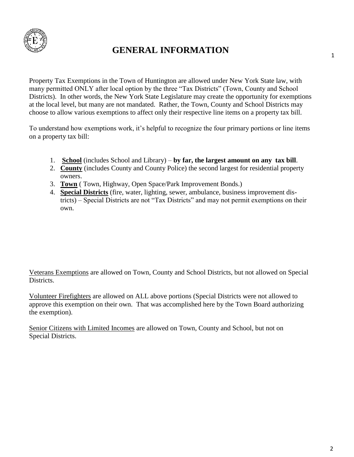

## **GENERAL INFORMATION**

Property Tax Exemptions in the Town of Huntington are allowed under New York State law, with many permitted ONLY after local option by the three "Tax Districts" (Town, County and School Districts). In other words, the New York State Legislature may create the opportunity for exemptions at the local level, but many are not mandated. Rather, the Town, County and School Districts may choose to allow various exemptions to affect only their respective line items on a property tax bill.

To understand how exemptions work, it's helpful to recognize the four primary portions or line items on a property tax bill:

- 1. **School** (includes School and Library) **by far, the largest amount on any tax bill**.
- 2. **County** (includes County and County Police) the second largest for residential property owners.
- 3. **Town** ( Town, Highway, Open Space/Park Improvement Bonds.)
- 4. **Special Districts** (fire, water, lighting, sewer, ambulance, business improvement districts) – Special Districts are not "Tax Districts" and may not permit exemptions on their own.

Veterans Exemptions are allowed on Town, County and School Districts, but not allowed on Special Districts.

Volunteer Firefighters are allowed on ALL above portions (Special Districts were not allowed to approve this exemption on their own. That was accomplished here by the Town Board authorizing the exemption).

Senior Citizens with Limited Incomes are allowed on Town, County and School, but not on Special Districts.

1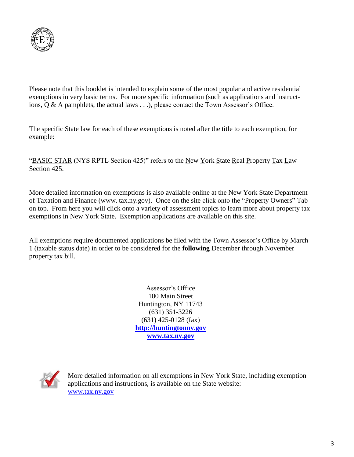

Please note that this booklet is intended to explain some of the most popular and active residential exemptions in very basic terms. For more specific information (such as applications and instructions, Q & A pamphlets, the actual laws . . .), please contact the Town Assessor's Office.

The specific State law for each of these exemptions is noted after the title to each exemption, for example:

"BASIC STAR (NYS RPTL Section 425)" refers to the New York State Real Property Tax Law Section 425.

More detailed information on exemptions is also available online at the New York State Department of Taxation and Finance (www. tax.ny.gov). Once on the site click onto the "Property Owners" Tab on top. From here you will click onto a variety of assessment topics to learn more about property tax exemptions in New York State. Exemption applications are available on this site.

All exemptions require documented applications be filed with the Town Assessor's Office by March 1 (taxable status date) in order to be considered for the **following** December through November property tax bill.

> Assessor's Office 100 Main Street Huntington, NY 11743 (631) 351-3226 (631) 425-0128 (fax) **[http://huntingtonny.gov](http://huntingtonny.gov/) [www.tax.ny.gov](http://www.tax.ny.gov/)**



More detailed information on all exemptions in New York State, including exemption applications and instructions, is available on the State website: [www.tax.ny.gov](http://www.tax.ny.gov/)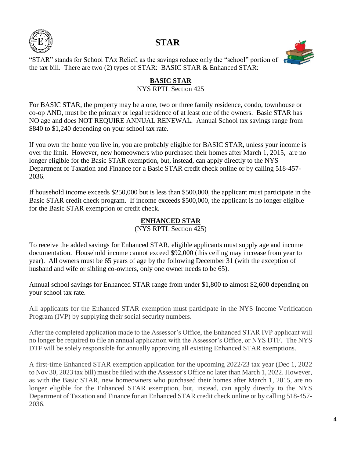

## **STAR**



"STAR" stands for  $\underline{S}$ chool TAx Relief, as the savings reduce only the "school" portion of the tax bill. There are two (2) types of STAR: BASIC STAR & Enhanced STAR:

#### **BASIC STAR** NYS RPTL Section 425

For BASIC STAR, the property may be a one, two or three family residence, condo, townhouse or co-op AND, must be the primary or legal residence of at least one of the owners. Basic STAR has NO age and does NOT REQUIRE ANNUAL RENEWAL. Annual School tax savings range from \$840 to \$1,240 depending on your school tax rate.

If you own the home you live in, you are probably eligible for BASIC STAR, unless your income is over the limit. However, new homeowners who purchased their homes after March 1, 2015, are no longer eligible for the Basic STAR exemption, but, instead, can apply directly to the NYS Department of Taxation and Finance for a Basic STAR credit check online or by calling 518-457- 2036.

If household income exceeds \$250,000 but is less than \$500,000, the applicant must participate in the Basic STAR credit check program. If income exceeds \$500,000, the applicant is no longer eligible for the Basic STAR exemption or credit check.

#### **ENHANCED STAR**

(NYS RPTL Section 425)

To receive the added savings for Enhanced STAR, eligible applicants must supply age and income documentation. Household income cannot exceed \$92,000 (this ceiling may increase from year to year). All owners must be 65 years of age by the following December 31 (with the exception of husband and wife or sibling co-owners, only one owner needs to be 65).

Annual school savings for Enhanced STAR range from under \$1,800 to almost \$2,600 depending on your school tax rate.

All applicants for the Enhanced STAR exemption must participate in the NYS Income Verification Program (IVP) by supplying their social security numbers.

After the completed application made to the Assessor's Office, the Enhanced STAR IVP applicant will no longer be required to file an annual application with the Assessor's Office, or NYS DTF. The NYS DTF will be solely responsible for annually approving all existing Enhanced STAR exemptions.

A first-time Enhanced STAR exemption application for the upcoming 2022/23 tax year (Dec 1, 2022 to Nov 30, 2023 tax bill) must be filed with the Assessor's Office no later than March 1, 2022. However, as with the Basic STAR, new homeowners who purchased their homes after March 1, 2015, are no longer eligible for the Enhanced STAR exemption, but, instead, can apply directly to the NYS Department of Taxation and Finance for an Enhanced STAR credit check online or by calling 518-457- 2036.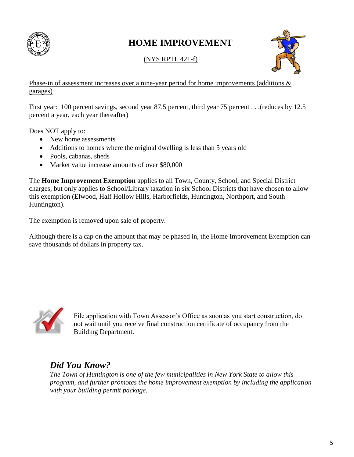

## **HOME IMPROVEMENT**

(NYS RPTL 421-f)



Phase-in of assessment increases over a nine-year period for home improvements (additions & garages)

First year: 100 percent savings, second year 87.5 percent, third year 75 percent . . .(reduces by 12.5 percent a year, each year thereafter)

Does NOT apply to:

- New home assessments
- Additions to homes where the original dwelling is less than 5 years old
- Pools, cabanas, sheds
- Market value increase amounts of over \$80,000

The **Home Improvement Exemption** applies to all Town, County, School, and Special District charges, but only applies to School/Library taxation in six School Districts that have chosen to allow this exemption (Elwood, Half Hollow Hills, Harborfields, Huntington, Northport, and South Huntington).

The exemption is removed upon sale of property.

Although there is a cap on the amount that may be phased in, the Home Improvement Exemption can save thousands of dollars in property tax.



File application with Town Assessor's Office as soon as you start construction, do not wait until you receive final construction certificate of occupancy from the Building Department.

## *Did You Know?*

*The Town of Huntington is one of the few municipalities in New York State to allow this program, and further promotes the home improvement exemption by including the application with your building permit package.*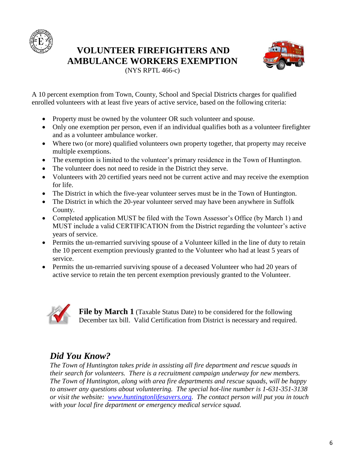

### **VOLUNTEER FIREFIGHTERS AND AMBULANCE WORKERS EXEMPTION**



(NYS RPTL 466-c)

A 10 percent exemption from Town, County, School and Special Districts charges for qualified enrolled volunteers with at least five years of active service, based on the following criteria:

- Property must be owned by the volunteer OR such volunteer and spouse.
- Only one exemption per person, even if an individual qualifies both as a volunteer firefighter and as a volunteer ambulance worker.
- Where two (or more) qualified volunteers own property together, that property may receive multiple exemptions.
- The exemption is limited to the volunteer's primary residence in the Town of Huntington.
- The volunteer does not need to reside in the District they serve.
- Volunteers with 20 certified years need not be current active and may receive the exemption for life.
- The District in which the five-year volunteer serves must be in the Town of Huntington.
- The District in which the 20-year volunteer served may have been anywhere in Suffolk County.
- Completed application MUST be filed with the Town Assessor's Office (by March 1) and MUST include a valid CERTIFICATION from the District regarding the volunteer's active years of service.
- Permits the un-remarried surviving spouse of a Volunteer killed in the line of duty to retain the 10 percent exemption previously granted to the Volunteer who had at least 5 years of service.
- Permits the un-remarried surviving spouse of a deceased Volunteer who had 20 years of active service to retain the ten percent exemption previously granted to the Volunteer.



**File by March 1** (Taxable Status Date) to be considered for the following December tax bill. Valid Certification from District is necessary and required.

## *Did You Know?*

*The Town of Huntington takes pride in assisting all fire department and rescue squads in their search for volunteers. There is a recruitment campaign underway for new members. The Town of Huntington, along with area fire departments and rescue squads, will be happy to answer any questions about volunteering. The special hot-line number is 1-631-351-3138 or visit the website: [www.huntingtonlifesavers.org.](http://www.huntingtonlifesavers.org/) The contact person will put you in touch with your local fire department or emergency medical service squad.*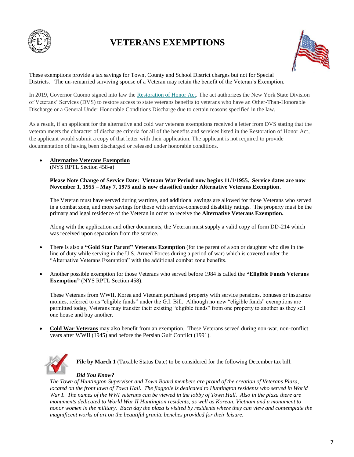

## **VETERANS EXEMPTIONS**



These exemptions provide a tax savings for Town, County and School District charges but not for Special Districts. The un-remarried surviving spouse of a Veteran may retain the benefit of the Veteran's Exemption.

In 2019, Governor Cuomo signed into law the [Restoration of Honor Act.](https://subscribe.tax.ny.gov/l/eyJhbGciOiJIUzI1NiJ9.eyJidWxsZXRpbl9saW5rX2lkIjoxMDEsInVyaSI6ImJwMjpjbGljayIsImJ1bGxldGluX2lkIjoiMjAyMDExMTYuMzA1NzQ3NDEiLCJ1cmwiOiJodHRwczovL3ZldGVyYW5zLm55Lmdvdi9jb250ZW50L3Jlc3RvcmF0aW9uLWhvbm9yLWFjdCJ9.rC9t853ca5WQbuJNA-YrBaOdKUtTixS0ilxiO5lub8M/s/1089968768/br/89850929294-l) The act authorizes the New York State Division of Veterans' Services (DVS) to restore access to state veterans benefits to veterans who have an Other-Than-Honorable Discharge or a General Under Honorable Conditions Discharge due to certain reasons specified in the law.

As a result, if an applicant for the alternative and cold war veterans exemptions received a letter from DVS stating that the veteran meets the character of discharge criteria for all of the benefits and services listed in the Restoration of Honor Act, the applicant would submit a copy of that letter with their application. The applicant is not required to provide documentation of having been discharged or released under honorable conditions.

#### • **Alternative Veterans Exemption**

(NYS RPTL Section 458-a)

**Please Note Change of Service Date: Vietnam War Period now begins 11/1/1955. Service dates are now November 1, 1955 – May 7, 1975 and is now classified under Alternative Veterans Exemption.**

The Veteran must have served during wartime, and additional savings are allowed for those Veterans who served in a combat zone, and more savings for those with service-connected disability ratings. The property must be the primary and legal residence of the Veteran in order to receive the **Alternative Veterans Exemption.**

Along with the application and other documents, the Veteran must supply a valid copy of form DD-214 which was received upon separation from the service.

- There is also a **"Gold Star Parent" Veterans Exemption** (for the parent of a son or daughter who dies in the line of duty while serving in the U.S. Armed Forces during a period of war) which is covered under the "Alternative Veterans Exemption" with the additional combat zone benefits.
- Another possible exemption for those Veterans who served before 1984 is called the **"Eligible Funds Veterans Exemption"** (NYS RPTL Section 458).

These Veterans from WWII, Korea and Vietnam purchased property with service pensions, bonuses or insurance monies, referred to as "eligible funds" under the G.I. Bill. Although no new "eligible funds" exemptions are permitted today, Veterans may transfer their existing "eligible funds" from one property to another as they sell one house and buy another.

• **Cold War Veterans** may also benefit from an exemption. These Veterans served during non-war, non-conflict years after WWII (1945) and before the Persian Gulf Conflict (1991).



File by March 1 (Taxable Status Date) to be considered for the following December tax bill.

#### *Did You Know?*

*The Town of Huntington Supervisor and Town Board members are proud of the creation of Veterans Plaza, located on the front lawn of Town Hall. The flagpole is dedicated to Huntington residents who served in World War I. The names of the WWI veterans can be viewed in the lobby of Town Hall. Also in the plaza there are monuments dedicated to World War II Huntington residents, as well as Korean, Vietnam and a monument to honor women in the military. Each day the plaza is visited by residents where they can view and contemplate the magnificent works of art on the beautiful granite benches provided for their leisure.*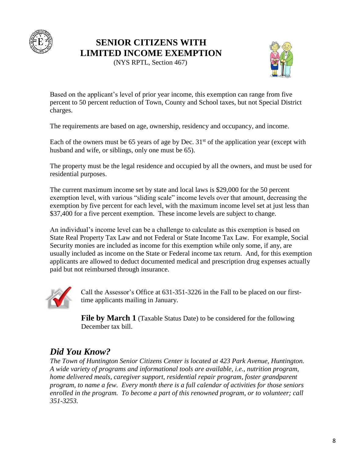

### **SENIOR CITIZENS WITH LIMITED INCOME EXEMPTION**

(NYS RPTL, Section 467)



Based on the applicant's level of prior year income, this exemption can range from five percent to 50 percent reduction of Town, County and School taxes, but not Special District charges.

The requirements are based on age, ownership, residency and occupancy, and income.

Each of the owners must be 65 years of age by Dec.  $31<sup>st</sup>$  of the application year (except with husband and wife, or siblings, only one must be 65).

The property must be the legal residence and occupied by all the owners, and must be used for residential purposes.

The current maximum income set by state and local laws is \$29,000 for the 50 percent exemption level, with various "sliding scale" income levels over that amount, decreasing the exemption by five percent for each level, with the maximum income level set at just less than \$37,400 for a five percent exemption. These income levels are subject to change.

An individual's income level can be a challenge to calculate as this exemption is based on State Real Property Tax Law and not Federal or State Income Tax Law. For example, Social Security monies are included as income for this exemption while only some, if any, are usually included as income on the State or Federal income tax return. And, for this exemption applicants are allowed to deduct documented medical and prescription drug expenses actually paid but not reimbursed through insurance.



Call the Assessor's Office at 631-351-3226 in the Fall to be placed on our firsttime applicants mailing in January.

**File by March 1** (Taxable Status Date) to be considered for the following December tax bill.

## *Did You Know?*

*The Town of Huntington Senior Citizens Center is located at 423 Park Avenue, Huntington. A wide variety of programs and informational tools are available, i.e., nutrition program, home delivered meals, caregiver support, residential repair program, foster grandparent program, to name a few. Every month there is a full calendar of activities for those seniors enrolled in the program. To become a part of this renowned program, or to volunteer; call 351-3253.*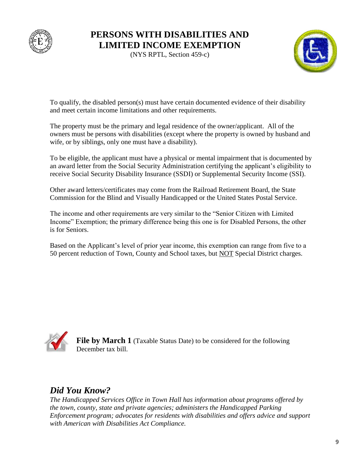

### **PERSONS WITH DISABILITIES AND LIMITED INCOME EXEMPTION**

(NYS RPTL, Section 459-c)



To qualify, the disabled person(s) must have certain documented evidence of their disability and meet certain income limitations and other requirements.

The property must be the primary and legal residence of the owner/applicant. All of the owners must be persons with disabilities (except where the property is owned by husband and wife, or by siblings, only one must have a disability).

To be eligible, the applicant must have a physical or mental impairment that is documented by an award letter from the Social Security Administration certifying the applicant's eligibility to receive Social Security Disability Insurance (SSDI) or Supplemental Security Income (SSI).

Other award letters/certificates may come from the Railroad Retirement Board, the State Commission for the Blind and Visually Handicapped or the United States Postal Service.

The income and other requirements are very similar to the "Senior Citizen with Limited Income" Exemption; the primary difference being this one is for Disabled Persons, the other is for Seniors.

Based on the Applicant's level of prior year income, this exemption can range from five to a 50 percent reduction of Town, County and School taxes, but NOT Special District charges.



**File by March 1** (Taxable Status Date) to be considered for the following December tax bill.

## *Did You Know?*

*The Handicapped Services Office in Town Hall has information about programs offered by the town, county, state and private agencies; administers the Handicapped Parking Enforcement program; advocates for residents with disabilities and offers advice and support with American with Disabilities Act Compliance.*